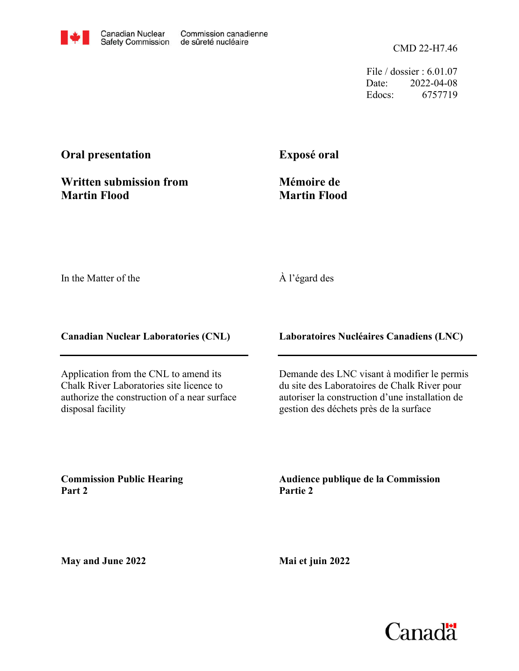CMD 22-H7.46

File / dossier : 6.01.07 Date: 2022-04-08 Edocs: 6757719

# **Oral presentation**

**Written submission from Martin Flood**

**Exposé oral**

**Mémoire de Martin Flood**

In the Matter of the

#### À l'égard des

**Canadian Nuclear Laboratories (CNL)**

Application from the CNL to amend its Chalk River Laboratories site licence to authorize the construction of a near surface disposal facility

**Laboratoires Nucléaires Canadiens (LNC)**

Demande des LNC visant à modifier le permis du site des Laboratoires de Chalk River pour autoriser la construction d'une installation de gestion des déchets près de la surface

**Commission Public Hearing Part 2**

**Audience publique de la Commission Partie 2**

**May and June 2022**

**Mai et juin 2022**

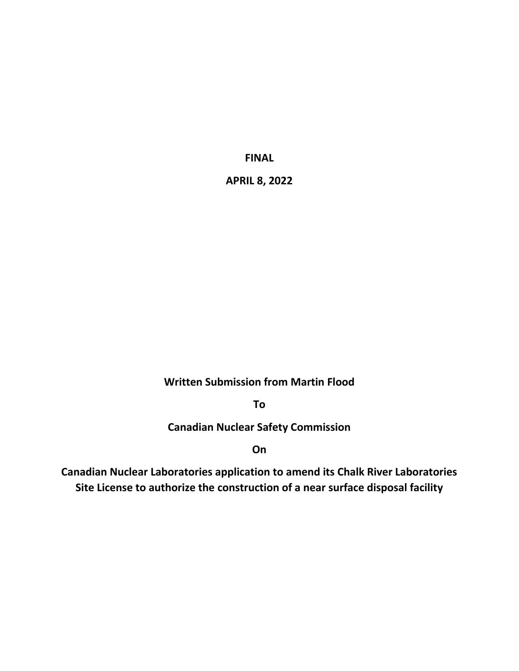**FINAL**

**APRIL 8, 2022**

**Written Submission from Martin Flood**

**To**

**Canadian Nuclear Safety Commission**

**On**

**Canadian Nuclear Laboratories application to amend its Chalk River Laboratories Site License to authorize the construction of a near surface disposal facility**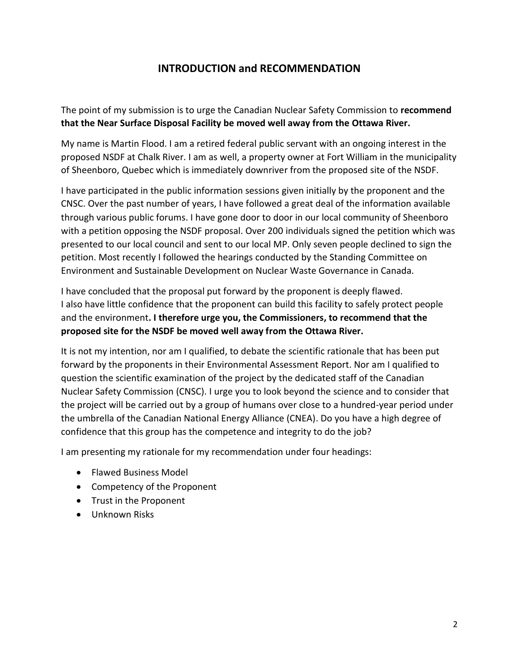### **INTRODUCTION and RECOMMENDATION**

The point of my submission is to urge the Canadian Nuclear Safety Commission to **recommend that the Near Surface Disposal Facility be moved well away from the Ottawa River.**

My name is Martin Flood. I am a retired federal public servant with an ongoing interest in the proposed NSDF at Chalk River. I am as well, a property owner at Fort William in the municipality of Sheenboro, Quebec which is immediately downriver from the proposed site of the NSDF.

I have participated in the public information sessions given initially by the proponent and the CNSC. Over the past number of years, I have followed a great deal of the information available through various public forums. I have gone door to door in our local community of Sheenboro with a petition opposing the NSDF proposal. Over 200 individuals signed the petition which was presented to our local council and sent to our local MP. Only seven people declined to sign the petition. Most recently I followed the hearings conducted by the Standing Committee on Environment and Sustainable Development on Nuclear Waste Governance in Canada.

I have concluded that the proposal put forward by the proponent is deeply flawed. I also have little confidence that the proponent can build this facility to safely protect people and the environment**. I therefore urge you, the Commissioners, to recommend that the proposed site for the NSDF be moved well away from the Ottawa River.** 

It is not my intention, nor am I qualified, to debate the scientific rationale that has been put forward by the proponents in their Environmental Assessment Report. Nor am I qualified to question the scientific examination of the project by the dedicated staff of the Canadian Nuclear Safety Commission (CNSC). I urge you to look beyond the science and to consider that the project will be carried out by a group of humans over close to a hundred-year period under the umbrella of the Canadian National Energy Alliance (CNEA). Do you have a high degree of confidence that this group has the competence and integrity to do the job?

I am presenting my rationale for my recommendation under four headings:

- Flawed Business Model
- Competency of the Proponent
- Trust in the Proponent
- Unknown Risks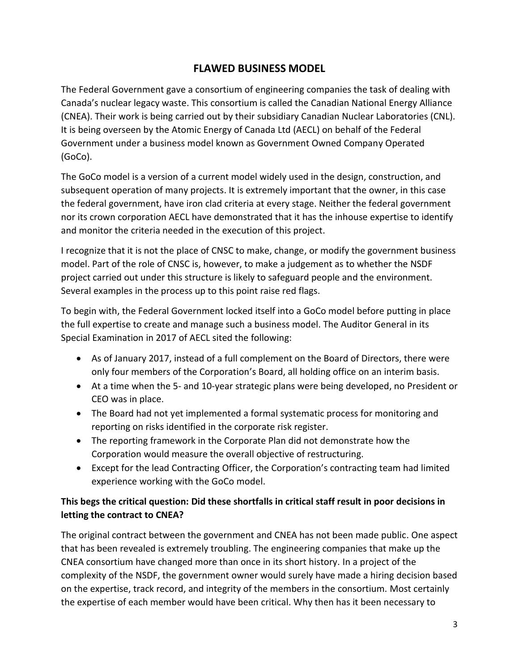# **FLAWED BUSINESS MODEL**

The Federal Government gave a consortium of engineering companies the task of dealing with Canada's nuclear legacy waste. This consortium is called the Canadian National Energy Alliance (CNEA). Their work is being carried out by their subsidiary Canadian Nuclear Laboratories (CNL). It is being overseen by the Atomic Energy of Canada Ltd (AECL) on behalf of the Federal Government under a business model known as Government Owned Company Operated (GoCo).

The GoCo model is a version of a current model widely used in the design, construction, and subsequent operation of many projects. It is extremely important that the owner, in this case the federal government, have iron clad criteria at every stage. Neither the federal government nor its crown corporation AECL have demonstrated that it has the inhouse expertise to identify and monitor the criteria needed in the execution of this project.

I recognize that it is not the place of CNSC to make, change, or modify the government business model. Part of the role of CNSC is, however, to make a judgement as to whether the NSDF project carried out under this structure is likely to safeguard people and the environment. Several examples in the process up to this point raise red flags.

To begin with, the Federal Government locked itself into a GoCo model before putting in place the full expertise to create and manage such a business model. The Auditor General in its Special Examination in 2017 of AECL sited the following:

- As of January 2017, instead of a full complement on the Board of Directors, there were only four members of the Corporation's Board, all holding office on an interim basis.
- At a time when the 5- and 10-year strategic plans were being developed, no President or CEO was in place.
- The Board had not yet implemented a formal systematic process for monitoring and reporting on risks identified in the corporate risk register.
- The reporting framework in the Corporate Plan did not demonstrate how the Corporation would measure the overall objective of restructuring.
- Except for the lead Contracting Officer, the Corporation's contracting team had limited experience working with the GoCo model.

### **This begs the critical question: Did these shortfalls in critical staff result in poor decisions in letting the contract to CNEA?**

The original contract between the government and CNEA has not been made public. One aspect that has been revealed is extremely troubling. The engineering companies that make up the CNEA consortium have changed more than once in its short history. In a project of the complexity of the NSDF, the government owner would surely have made a hiring decision based on the expertise, track record, and integrity of the members in the consortium. Most certainly the expertise of each member would have been critical. Why then has it been necessary to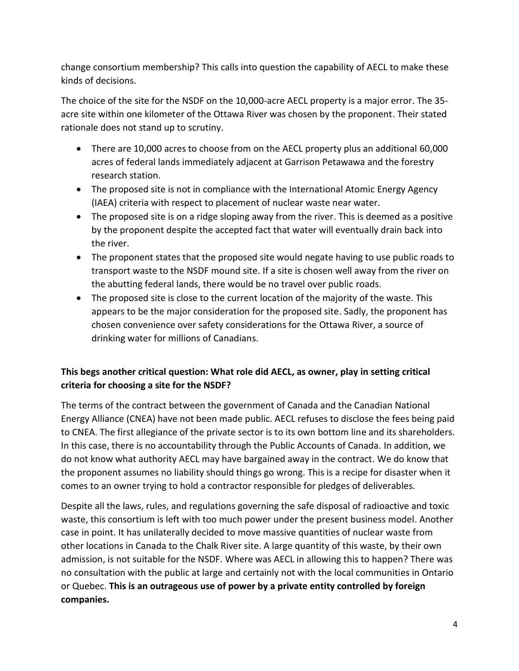change consortium membership? This calls into question the capability of AECL to make these kinds of decisions.

The choice of the site for the NSDF on the 10,000-acre AECL property is a major error. The 35 acre site within one kilometer of the Ottawa River was chosen by the proponent. Their stated rationale does not stand up to scrutiny.

- There are 10,000 acres to choose from on the AECL property plus an additional 60,000 acres of federal lands immediately adjacent at Garrison Petawawa and the forestry research station.
- The proposed site is not in compliance with the International Atomic Energy Agency (IAEA) criteria with respect to placement of nuclear waste near water.
- The proposed site is on a ridge sloping away from the river. This is deemed as a positive by the proponent despite the accepted fact that water will eventually drain back into the river.
- The proponent states that the proposed site would negate having to use public roads to transport waste to the NSDF mound site. If a site is chosen well away from the river on the abutting federal lands, there would be no travel over public roads.
- The proposed site is close to the current location of the majority of the waste. This appears to be the major consideration for the proposed site. Sadly, the proponent has chosen convenience over safety considerations for the Ottawa River, a source of drinking water for millions of Canadians.

### **This begs another critical question: What role did AECL, as owner, play in setting critical criteria for choosing a site for the NSDF?**

The terms of the contract between the government of Canada and the Canadian National Energy Alliance (CNEA) have not been made public. AECL refuses to disclose the fees being paid to CNEA. The first allegiance of the private sector is to its own bottom line and its shareholders. In this case, there is no accountability through the Public Accounts of Canada. In addition, we do not know what authority AECL may have bargained away in the contract. We do know that the proponent assumes no liability should things go wrong. This is a recipe for disaster when it comes to an owner trying to hold a contractor responsible for pledges of deliverables.

Despite all the laws, rules, and regulations governing the safe disposal of radioactive and toxic waste, this consortium is left with too much power under the present business model. Another case in point. It has unilaterally decided to move massive quantities of nuclear waste from other locations in Canada to the Chalk River site. A large quantity of this waste, by their own admission, is not suitable for the NSDF. Where was AECL in allowing this to happen? There was no consultation with the public at large and certainly not with the local communities in Ontario or Quebec. **This is an outrageous use of power by a private entity controlled by foreign companies.**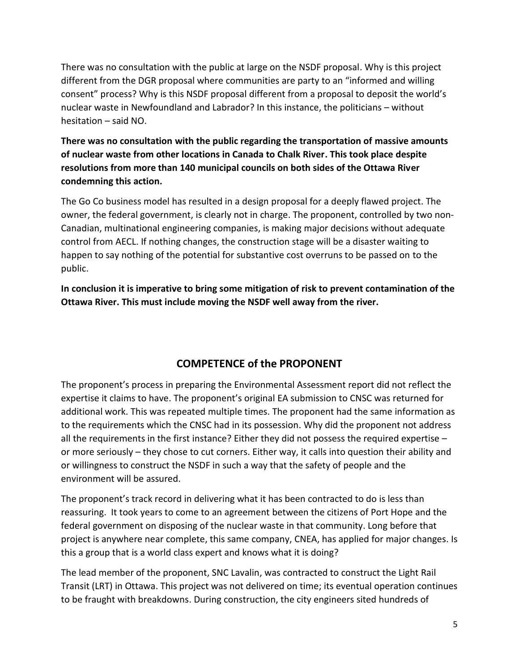There was no consultation with the public at large on the NSDF proposal. Why is this project different from the DGR proposal where communities are party to an "informed and willing consent" process? Why is this NSDF proposal different from a proposal to deposit the world's nuclear waste in Newfoundland and Labrador? In this instance, the politicians – without hesitation – said NO.

**There was no consultation with the public regarding the transportation of massive amounts of nuclear waste from other locations in Canada to Chalk River. This took place despite resolutions from more than 140 municipal councils on both sides of the Ottawa River condemning this action.**

The Go Co business model has resulted in a design proposal for a deeply flawed project. The owner, the federal government, is clearly not in charge. The proponent, controlled by two non-Canadian, multinational engineering companies, is making major decisions without adequate control from AECL. If nothing changes, the construction stage will be a disaster waiting to happen to say nothing of the potential for substantive cost overruns to be passed on to the public.

**In conclusion it is imperative to bring some mitigation of risk to prevent contamination of the Ottawa River. This must include moving the NSDF well away from the river.**

# **COMPETENCE of the PROPONENT**

The proponent's process in preparing the Environmental Assessment report did not reflect the expertise it claims to have. The proponent's original EA submission to CNSC was returned for additional work. This was repeated multiple times. The proponent had the same information as to the requirements which the CNSC had in its possession. Why did the proponent not address all the requirements in the first instance? Either they did not possess the required expertise – or more seriously – they chose to cut corners. Either way, it calls into question their ability and or willingness to construct the NSDF in such a way that the safety of people and the environment will be assured.

The proponent's track record in delivering what it has been contracted to do is less than reassuring. It took years to come to an agreement between the citizens of Port Hope and the federal government on disposing of the nuclear waste in that community. Long before that project is anywhere near complete, this same company, CNEA, has applied for major changes. Is this a group that is a world class expert and knows what it is doing?

The lead member of the proponent, SNC Lavalin, was contracted to construct the Light Rail Transit (LRT) in Ottawa. This project was not delivered on time; its eventual operation continues to be fraught with breakdowns. During construction, the city engineers sited hundreds of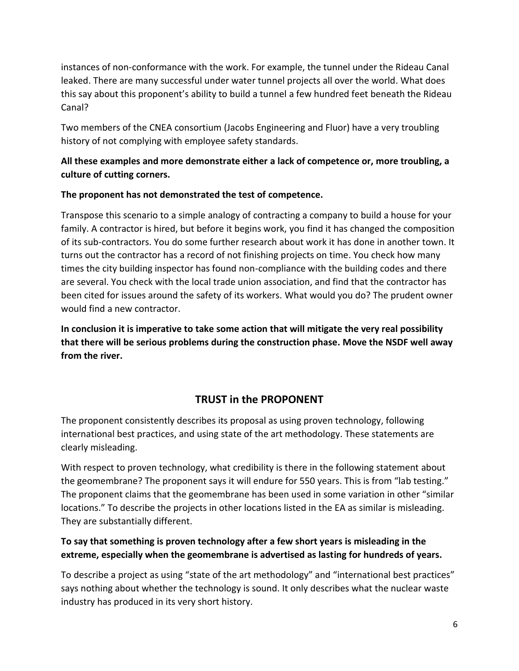instances of non-conformance with the work. For example, the tunnel under the Rideau Canal leaked. There are many successful under water tunnel projects all over the world. What does this say about this proponent's ability to build a tunnel a few hundred feet beneath the Rideau Canal?

Two members of the CNEA consortium (Jacobs Engineering and Fluor) have a very troubling history of not complying with employee safety standards.

### **All these examples and more demonstrate either a lack of competence or, more troubling, a culture of cutting corners.**

#### **The proponent has not demonstrated the test of competence.**

Transpose this scenario to a simple analogy of contracting a company to build a house for your family. A contractor is hired, but before it begins work, you find it has changed the composition of its sub-contractors. You do some further research about work it has done in another town. It turns out the contractor has a record of not finishing projects on time. You check how many times the city building inspector has found non-compliance with the building codes and there are several. You check with the local trade union association, and find that the contractor has been cited for issues around the safety of its workers. What would you do? The prudent owner would find a new contractor.

**In conclusion it is imperative to take some action that will mitigate the very real possibility that there will be serious problems during the construction phase. Move the NSDF well away from the river.** 

# **TRUST in the PROPONENT**

The proponent consistently describes its proposal as using proven technology, following international best practices, and using state of the art methodology. These statements are clearly misleading.

With respect to proven technology, what credibility is there in the following statement about the geomembrane? The proponent says it will endure for 550 years. This is from "lab testing." The proponent claims that the geomembrane has been used in some variation in other "similar locations." To describe the projects in other locations listed in the EA as similar is misleading. They are substantially different.

#### **To say that something is proven technology after a few short years is misleading in the extreme, especially when the geomembrane is advertised as lasting for hundreds of years.**

To describe a project as using "state of the art methodology" and "international best practices" says nothing about whether the technology is sound. It only describes what the nuclear waste industry has produced in its very short history.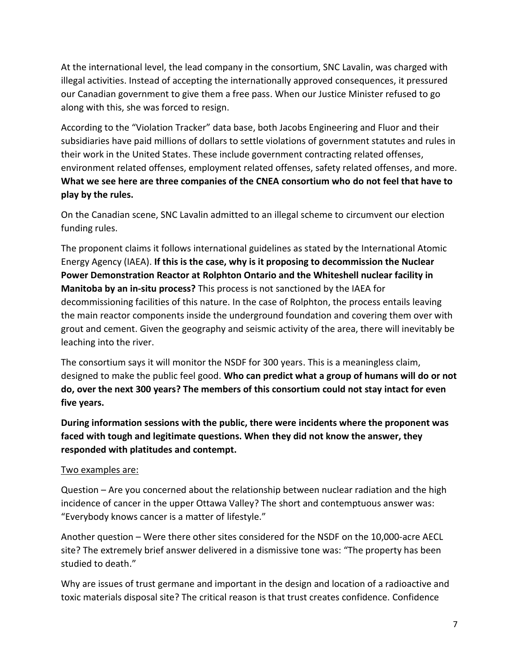At the international level, the lead company in the consortium, SNC Lavalin, was charged with illegal activities. Instead of accepting the internationally approved consequences, it pressured our Canadian government to give them a free pass. When our Justice Minister refused to go along with this, she was forced to resign.

According to the "Violation Tracker" data base, both Jacobs Engineering and Fluor and their subsidiaries have paid millions of dollars to settle violations of government statutes and rules in their work in the United States. These include government contracting related offenses, environment related offenses, employment related offenses, safety related offenses, and more. **What we see here are three companies of the CNEA consortium who do not feel that have to play by the rules.**

On the Canadian scene, SNC Lavalin admitted to an illegal scheme to circumvent our election funding rules.

The proponent claims it follows international guidelines as stated by the International Atomic Energy Agency (IAEA). **If this is the case, why is it proposing to decommission the Nuclear Power Demonstration Reactor at Rolphton Ontario and the Whiteshell nuclear facility in Manitoba by an in-situ process?** This process is not sanctioned by the IAEA for decommissioning facilities of this nature. In the case of Rolphton, the process entails leaving the main reactor components inside the underground foundation and covering them over with grout and cement. Given the geography and seismic activity of the area, there will inevitably be leaching into the river.

The consortium says it will monitor the NSDF for 300 years. This is a meaningless claim, designed to make the public feel good. **Who can predict what a group of humans will do or not do, over the next 300 years? The members of this consortium could not stay intact for even five years.**

**During information sessions with the public, there were incidents where the proponent was faced with tough and legitimate questions. When they did not know the answer, they responded with platitudes and contempt.** 

#### Two examples are:

Question – Are you concerned about the relationship between nuclear radiation and the high incidence of cancer in the upper Ottawa Valley? The short and contemptuous answer was: "Everybody knows cancer is a matter of lifestyle."

Another question – Were there other sites considered for the NSDF on the 10,000-acre AECL site? The extremely brief answer delivered in a dismissive tone was: "The property has been studied to death."

Why are issues of trust germane and important in the design and location of a radioactive and toxic materials disposal site? The critical reason is that trust creates confidence. Confidence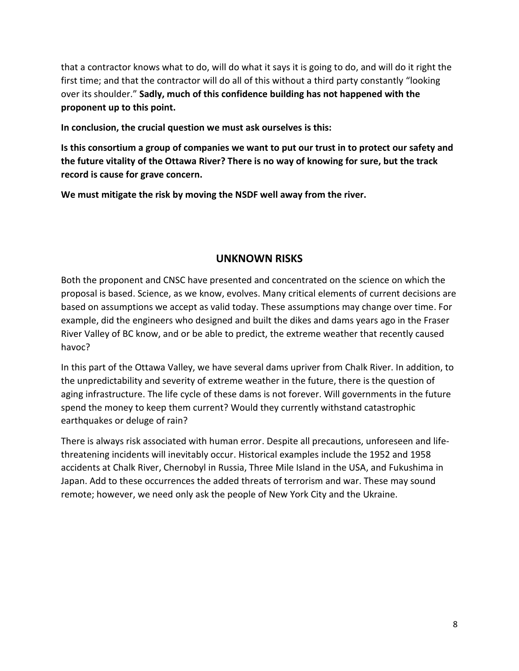that a contractor knows what to do, will do what it says it is going to do, and will do it right the first time; and that the contractor will do all of this without a third party constantly "looking over its shoulder." **Sadly, much of this confidence building has not happened with the proponent up to this point.**

**In conclusion, the crucial question we must ask ourselves is this:**

**Is this consortium a group of companies we want to put our trust in to protect our safety and the future vitality of the Ottawa River? There is no way of knowing for sure, but the track record is cause for grave concern.** 

**We must mitigate the risk by moving the NSDF well away from the river.**

#### **UNKNOWN RISKS**

Both the proponent and CNSC have presented and concentrated on the science on which the proposal is based. Science, as we know, evolves. Many critical elements of current decisions are based on assumptions we accept as valid today. These assumptions may change over time. For example, did the engineers who designed and built the dikes and dams years ago in the Fraser River Valley of BC know, and or be able to predict, the extreme weather that recently caused havoc?

In this part of the Ottawa Valley, we have several dams upriver from Chalk River. In addition, to the unpredictability and severity of extreme weather in the future, there is the question of aging infrastructure. The life cycle of these dams is not forever. Will governments in the future spend the money to keep them current? Would they currently withstand catastrophic earthquakes or deluge of rain?

There is always risk associated with human error. Despite all precautions, unforeseen and lifethreatening incidents will inevitably occur. Historical examples include the 1952 and 1958 accidents at Chalk River, Chernobyl in Russia, Three Mile Island in the USA, and Fukushima in Japan. Add to these occurrences the added threats of terrorism and war. These may sound remote; however, we need only ask the people of New York City and the Ukraine.